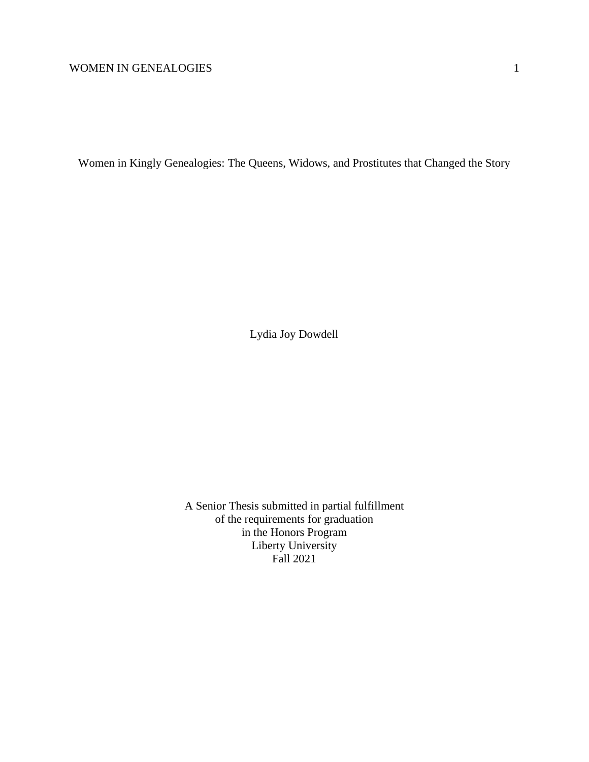Women in Kingly Genealogies: The Queens, Widows, and Prostitutes that Changed the Story

Lydia Joy Dowdell

A Senior Thesis submitted in partial fulfillment of the requirements for graduation in the Honors Program Liberty University Fall 2021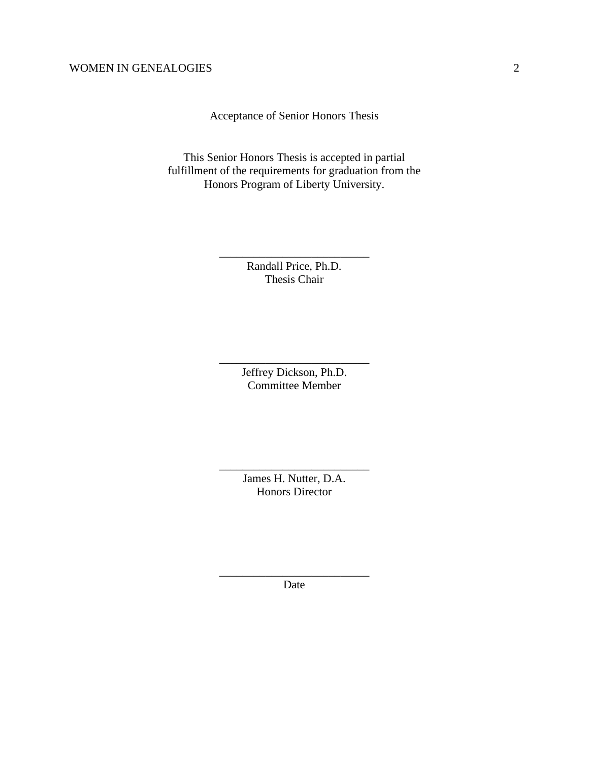Acceptance of Senior Honors Thesis

This Senior Honors Thesis is accepted in partial fulfillment of the requirements for graduation from the Honors Program of Liberty University.

> Randall Price, Ph.D. Thesis Chair

\_\_\_\_\_\_\_\_\_\_\_\_\_\_\_\_\_\_\_\_\_\_\_\_\_\_

Jeffrey Dickson, Ph.D. Committee Member

\_\_\_\_\_\_\_\_\_\_\_\_\_\_\_\_\_\_\_\_\_\_\_\_\_\_

James H. Nutter, D.A. Honors Director

\_\_\_\_\_\_\_\_\_\_\_\_\_\_\_\_\_\_\_\_\_\_\_\_\_\_

\_\_\_\_\_\_\_\_\_\_\_\_\_\_\_\_\_\_\_\_\_\_\_\_\_\_ Date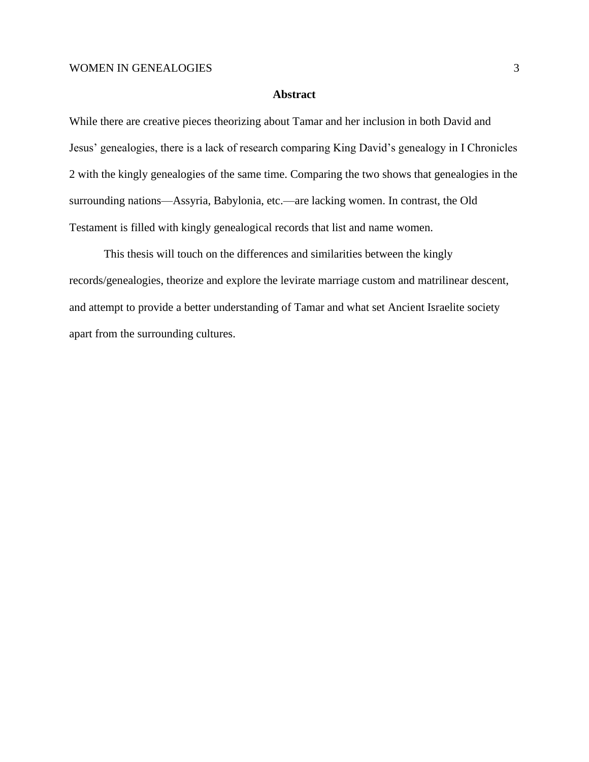## **Abstract**

While there are creative pieces theorizing about Tamar and her inclusion in both David and Jesus' genealogies, there is a lack of research comparing King David's genealogy in I Chronicles 2 with the kingly genealogies of the same time. Comparing the two shows that genealogies in the surrounding nations—Assyria, Babylonia, etc.—are lacking women. In contrast, the Old Testament is filled with kingly genealogical records that list and name women.

This thesis will touch on the differences and similarities between the kingly records/genealogies, theorize and explore the levirate marriage custom and matrilinear descent, and attempt to provide a better understanding of Tamar and what set Ancient Israelite society apart from the surrounding cultures.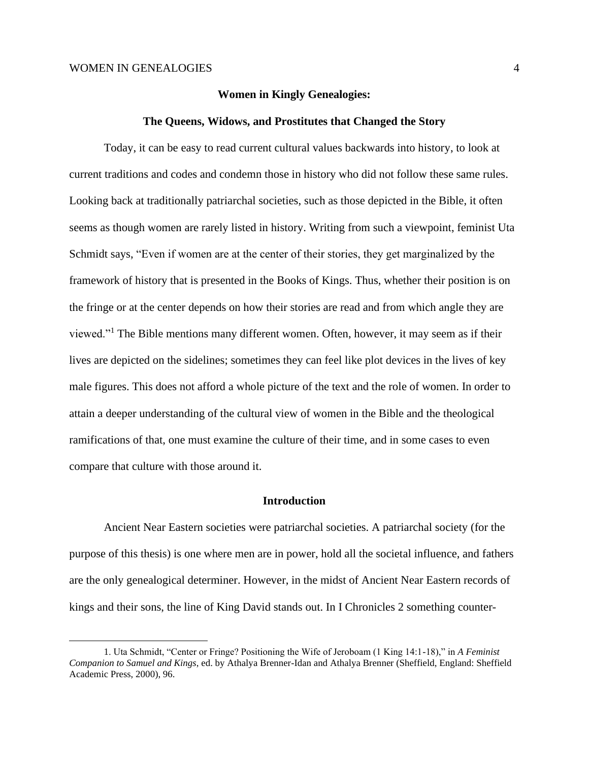## **Women in Kingly Genealogies:**

#### **The Queens, Widows, and Prostitutes that Changed the Story**

Today, it can be easy to read current cultural values backwards into history, to look at current traditions and codes and condemn those in history who did not follow these same rules. Looking back at traditionally patriarchal societies, such as those depicted in the Bible, it often seems as though women are rarely listed in history. Writing from such a viewpoint, feminist Uta Schmidt says, "Even if women are at the center of their stories, they get marginalized by the framework of history that is presented in the Books of Kings. Thus, whether their position is on the fringe or at the center depends on how their stories are read and from which angle they are viewed."<sup>1</sup> The Bible mentions many different women. Often, however, it may seem as if their lives are depicted on the sidelines; sometimes they can feel like plot devices in the lives of key male figures. This does not afford a whole picture of the text and the role of women. In order to attain a deeper understanding of the cultural view of women in the Bible and the theological ramifications of that, one must examine the culture of their time, and in some cases to even compare that culture with those around it.

#### **Introduction**

Ancient Near Eastern societies were patriarchal societies. A patriarchal society (for the purpose of this thesis) is one where men are in power, hold all the societal influence, and fathers are the only genealogical determiner. However, in the midst of Ancient Near Eastern records of kings and their sons, the line of King David stands out. In I Chronicles 2 something counter-

<sup>1.</sup> Uta Schmidt, "Center or Fringe? Positioning the Wife of Jeroboam (1 King 14:1-18)," in *A Feminist Companion to Samuel and Kings*, ed. by Athalya Brenner-Idan and Athalya Brenner (Sheffield, England: Sheffield Academic Press, 2000), 96.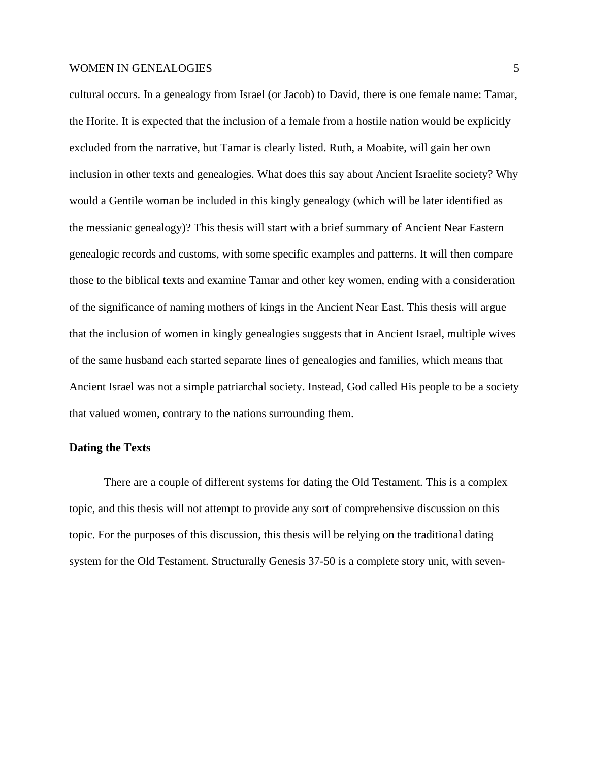cultural occurs. In a genealogy from Israel (or Jacob) to David, there is one female name: Tamar, the Horite. It is expected that the inclusion of a female from a hostile nation would be explicitly excluded from the narrative, but Tamar is clearly listed. Ruth, a Moabite, will gain her own inclusion in other texts and genealogies. What does this say about Ancient Israelite society? Why would a Gentile woman be included in this kingly genealogy (which will be later identified as the messianic genealogy)? This thesis will start with a brief summary of Ancient Near Eastern genealogic records and customs, with some specific examples and patterns. It will then compare those to the biblical texts and examine Tamar and other key women, ending with a consideration of the significance of naming mothers of kings in the Ancient Near East. This thesis will argue that the inclusion of women in kingly genealogies suggests that in Ancient Israel, multiple wives of the same husband each started separate lines of genealogies and families, which means that Ancient Israel was not a simple patriarchal society. Instead, God called His people to be a society that valued women, contrary to the nations surrounding them.

#### **Dating the Texts**

There are a couple of different systems for dating the Old Testament. This is a complex topic, and this thesis will not attempt to provide any sort of comprehensive discussion on this topic. For the purposes of this discussion, this thesis will be relying on the traditional dating system for the Old Testament. Structurally Genesis 37-50 is a complete story unit, with seven-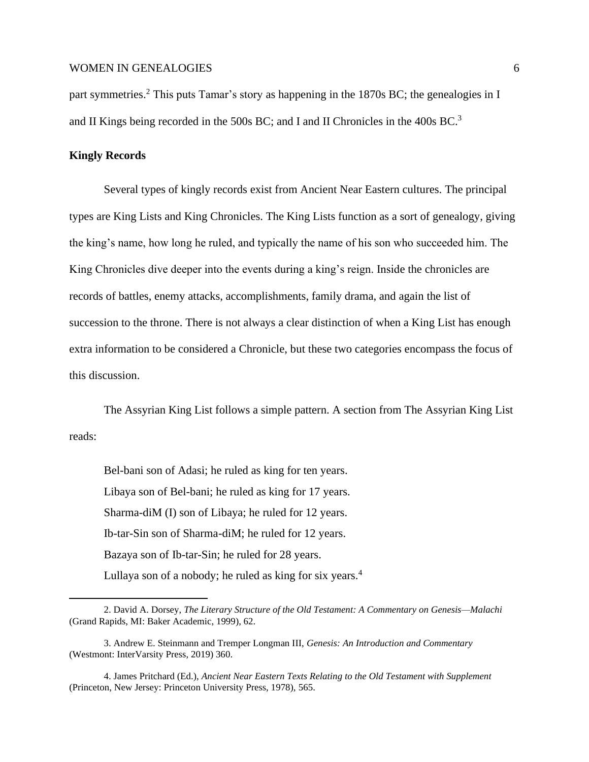part symmetries.<sup>2</sup> This puts Tamar's story as happening in the 1870s BC; the genealogies in I and II Kings being recorded in the 500s BC; and I and II Chronicles in the 400s BC.<sup>3</sup>

## **Kingly Records**

Several types of kingly records exist from Ancient Near Eastern cultures. The principal types are King Lists and King Chronicles. The King Lists function as a sort of genealogy, giving the king's name, how long he ruled, and typically the name of his son who succeeded him. The King Chronicles dive deeper into the events during a king's reign. Inside the chronicles are records of battles, enemy attacks, accomplishments, family drama, and again the list of succession to the throne. There is not always a clear distinction of when a King List has enough extra information to be considered a Chronicle, but these two categories encompass the focus of this discussion.

The Assyrian King List follows a simple pattern. A section from The Assyrian King List reads:

Bel-bani son of Adasi; he ruled as king for ten years. Libaya son of Bel-bani; he ruled as king for 17 years. Sharma-diM (I) son of Libaya; he ruled for 12 years. Ib-tar-Sin son of Sharma-diM; he ruled for 12 years. Bazaya son of Ib-tar-Sin; he ruled for 28 years. Lullaya son of a nobody; he ruled as king for six years.<sup>4</sup>

<sup>2</sup>. David A. Dorsey, *The Literary Structure of the Old Testament: A Commentary on Genesis—Malachi*  (Grand Rapids, MI: Baker Academic, 1999), 62.

<sup>3.</sup> Andrew E. Steinmann and Tremper Longman III, *Genesis: An Introduction and Commentary* (Westmont: InterVarsity Press, 2019) 360.

<sup>4.</sup> James Pritchard (Ed.), *Ancient Near Eastern Texts Relating to the Old Testament with Supplement* (Princeton, New Jersey: Princeton University Press, 1978), 565.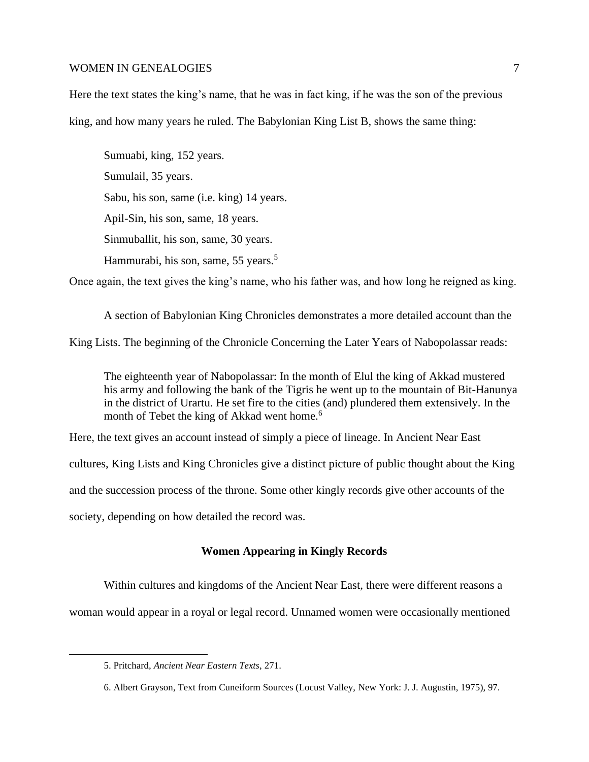Here the text states the king's name, that he was in fact king, if he was the son of the previous king, and how many years he ruled. The Babylonian King List B, shows the same thing:

Sumuabi, king, 152 years. Sumulail, 35 years. Sabu, his son, same (i.e. king) 14 years. Apil-Sin, his son, same, 18 years. Sinmuballit, his son, same, 30 years. Hammurabi, his son, same, 55 years.<sup>5</sup>

Once again, the text gives the king's name, who his father was, and how long he reigned as king.

A section of Babylonian King Chronicles demonstrates a more detailed account than the King Lists. The beginning of the Chronicle Concerning the Later Years of Nabopolassar reads:

The eighteenth year of Nabopolassar: In the month of Elul the king of Akkad mustered his army and following the bank of the Tigris he went up to the mountain of Bit-Hanunya in the district of Urartu. He set fire to the cities (and) plundered them extensively. In the month of Tebet the king of Akkad went home.<sup>6</sup>

Here, the text gives an account instead of simply a piece of lineage. In Ancient Near East cultures, King Lists and King Chronicles give a distinct picture of public thought about the King and the succession process of the throne. Some other kingly records give other accounts of the society, depending on how detailed the record was.

## **Women Appearing in Kingly Records**

Within cultures and kingdoms of the Ancient Near East, there were different reasons a

woman would appear in a royal or legal record. Unnamed women were occasionally mentioned

<sup>5.</sup> Pritchard, *Ancient Near Eastern Texts*, 271.

<sup>6.</sup> Albert Grayson, Text from Cuneiform Sources (Locust Valley, New York: J. J. Augustin, 1975), 97.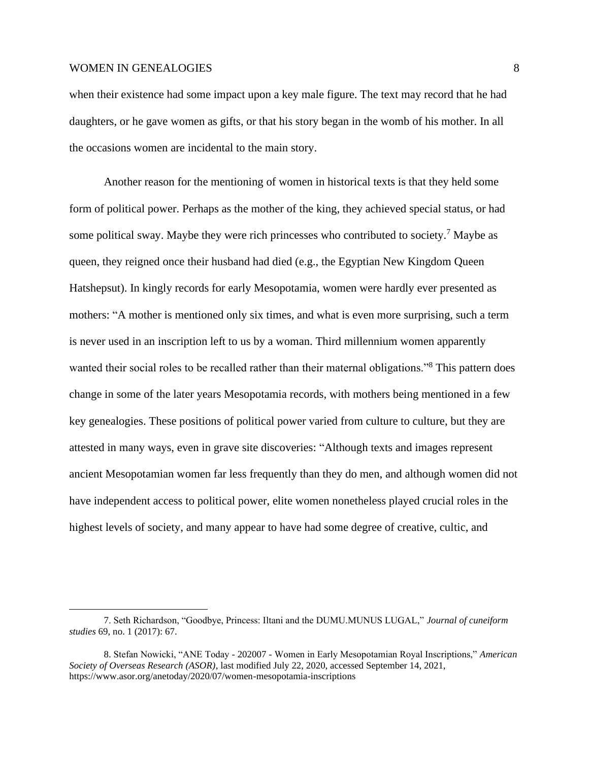when their existence had some impact upon a key male figure. The text may record that he had daughters, or he gave women as gifts, or that his story began in the womb of his mother. In all the occasions women are incidental to the main story.

Another reason for the mentioning of women in historical texts is that they held some form of political power. Perhaps as the mother of the king, they achieved special status, or had some political sway. Maybe they were rich princesses who contributed to society.<sup>7</sup> Maybe as queen, they reigned once their husband had died (e.g., the Egyptian New Kingdom Queen Hatshepsut). In kingly records for early Mesopotamia, women were hardly ever presented as mothers: "A mother is mentioned only six times, and what is even more surprising, such a term is never used in an inscription left to us by a woman. Third millennium women apparently wanted their social roles to be recalled rather than their maternal obligations."<sup>8</sup> This pattern does change in some of the later years Mesopotamia records, with mothers being mentioned in a few key genealogies. These positions of political power varied from culture to culture, but they are attested in many ways, even in grave site discoveries: "Although texts and images represent ancient Mesopotamian women far less frequently than they do men, and although women did not have independent access to political power, elite women nonetheless played crucial roles in the highest levels of society, and many appear to have had some degree of creative, cultic, and

<sup>7.</sup> Seth Richardson, "Goodbye, Princess: Iltani and the DUMU.MUNUS LUGAL," *Journal of cuneiform studies* 69, no. 1 (2017): 67.

<sup>8.</sup> Stefan Nowicki, "ANE Today - 202007 - Women in Early Mesopotamian Royal Inscriptions," *American Society of Overseas Research (ASOR)*, last modified July 22, 2020, accessed September 14, 2021, https://www.asor.org/anetoday/2020/07/women-mesopotamia-inscriptions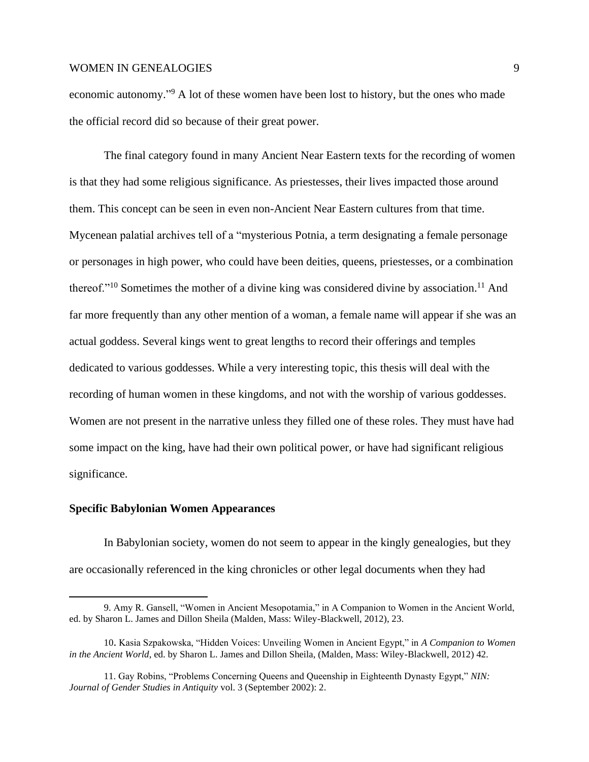economic autonomy."<sup>9</sup> A lot of these women have been lost to history, but the ones who made the official record did so because of their great power.

The final category found in many Ancient Near Eastern texts for the recording of women is that they had some religious significance. As priestesses, their lives impacted those around them. This concept can be seen in even non-Ancient Near Eastern cultures from that time. Mycenean palatial archives tell of a "mysterious Potnia, a term designating a female personage or personages in high power, who could have been deities, queens, priestesses, or a combination thereof."<sup>10</sup> Sometimes the mother of a divine king was considered divine by association.<sup>11</sup> And far more frequently than any other mention of a woman, a female name will appear if she was an actual goddess. Several kings went to great lengths to record their offerings and temples dedicated to various goddesses. While a very interesting topic, this thesis will deal with the recording of human women in these kingdoms, and not with the worship of various goddesses. Women are not present in the narrative unless they filled one of these roles. They must have had some impact on the king, have had their own political power, or have had significant religious significance.

#### **Specific Babylonian Women Appearances**

In Babylonian society, women do not seem to appear in the kingly genealogies, but they are occasionally referenced in the king chronicles or other legal documents when they had

<sup>9.</sup> Amy R. Gansell, "Women in Ancient Mesopotamia," in A Companion to Women in the Ancient World, ed. by Sharon L. James and Dillon Sheila (Malden, Mass: Wiley-Blackwell, 2012), 23.

<sup>10</sup>. Kasia Szpakowska, "Hidden Voices: Unveiling Women in Ancient Egypt," in *A Companion to Women in the Ancient World*, ed. by Sharon L. James and Dillon Sheila, (Malden, Mass: Wiley-Blackwell, 2012) 42.

<sup>11.</sup> Gay Robins, "Problems Concerning Queens and Queenship in Eighteenth Dynasty Egypt," *NIN: Journal of Gender Studies in Antiquity* vol. 3 (September 2002): 2.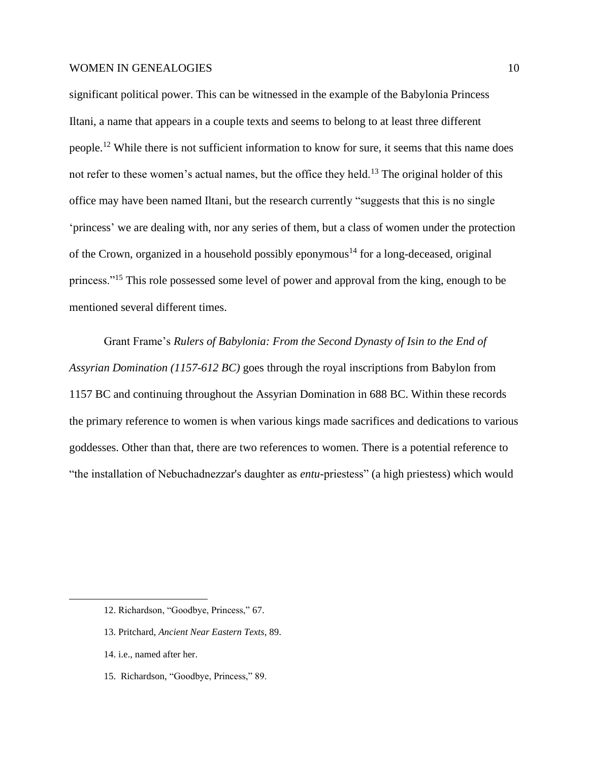significant political power. This can be witnessed in the example of the Babylonia Princess Iltani, a name that appears in a couple texts and seems to belong to at least three different people.<sup>12</sup> While there is not sufficient information to know for sure, it seems that this name does not refer to these women's actual names, but the office they held.<sup>13</sup> The original holder of this office may have been named Iltani, but the research currently "suggests that this is no single 'princess' we are dealing with, nor any series of them, but a class of women under the protection of the Crown, organized in a household possibly eponymous<sup>14</sup> for a long-deceased, original princess."<sup>15</sup> This role possessed some level of power and approval from the king, enough to be mentioned several different times.

Grant Frame's *Rulers of Babylonia: From the Second Dynasty of Isin to the End of Assyrian Domination (1157-612 BC)* goes through the royal inscriptions from Babylon from 1157 BC and continuing throughout the Assyrian Domination in 688 BC. Within these records the primary reference to women is when various kings made sacrifices and dedications to various goddesses. Other than that, there are two references to women. There is a potential reference to "the installation of Nebuchadnezzar's daughter as *entu*-priestess" (a high priestess) which would

- 14. i.e., named after her.
- 15. Richardson, "Goodbye, Princess," 89.

<sup>12.</sup> Richardson, "Goodbye, Princess," 67.

<sup>13.</sup> Pritchard, *Ancient Near Eastern Texts*, 89.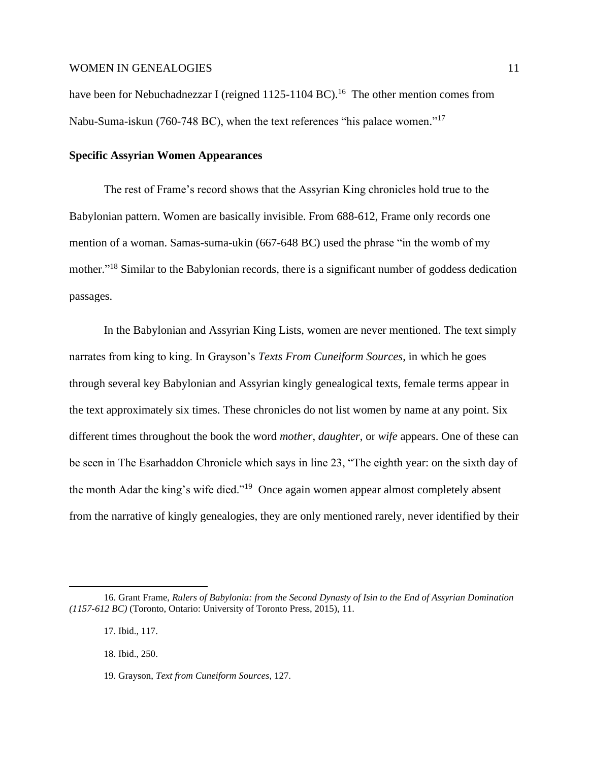have been for Nebuchadnezzar I (reigned 1125-1104 BC).<sup>16</sup> The other mention comes from Nabu-Suma-iskun (760-748 BC), when the text references "his palace women."<sup>17</sup>

# **Specific Assyrian Women Appearances**

The rest of Frame's record shows that the Assyrian King chronicles hold true to the Babylonian pattern. Women are basically invisible. From 688-612, Frame only records one mention of a woman. Samas-suma-ukin (667-648 BC) used the phrase "in the womb of my mother."<sup>18</sup> Similar to the Babylonian records, there is a significant number of goddess dedication passages.

In the Babylonian and Assyrian King Lists, women are never mentioned. The text simply narrates from king to king. In Grayson's *Texts From Cuneiform Sources*, in which he goes through several key Babylonian and Assyrian kingly genealogical texts, female terms appear in the text approximately six times. These chronicles do not list women by name at any point. Six different times throughout the book the word *mother*, *daughter*, or *wife* appears. One of these can be seen in The Esarhaddon Chronicle which says in line 23, "The eighth year: on the sixth day of the month Adar the king's wife died."<sup>19</sup> Once again women appear almost completely absent from the narrative of kingly genealogies, they are only mentioned rarely, never identified by their

<sup>16.</sup> Grant Frame, *Rulers of Babylonia: from the Second Dynasty of Isin to the End of Assyrian Domination (1157-612 BC)* (Toronto, Ontario: University of Toronto Press, 2015), 11.

<sup>17.</sup> Ibid., 117.

<sup>18.</sup> Ibid., 250.

<sup>19.</sup> Grayson, *Text from Cuneiform Sources*, 127.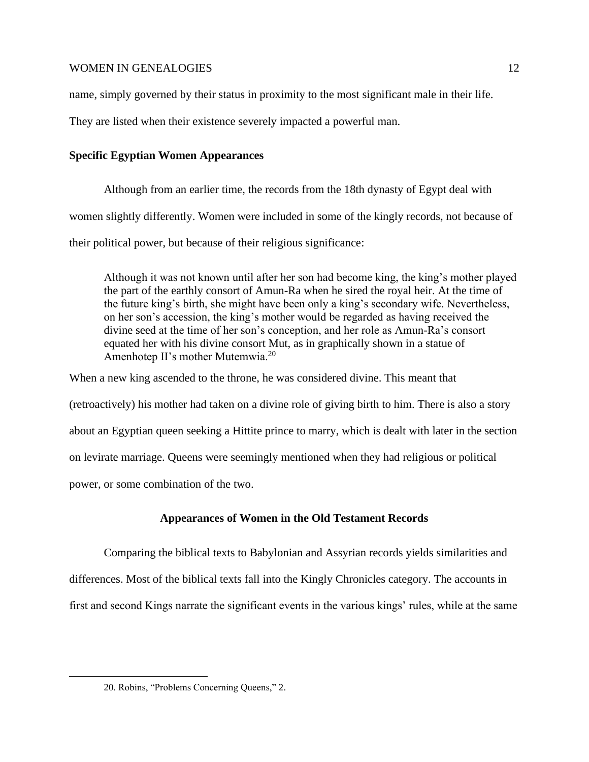name, simply governed by their status in proximity to the most significant male in their life.

They are listed when their existence severely impacted a powerful man.

# **Specific Egyptian Women Appearances**

Although from an earlier time, the records from the 18th dynasty of Egypt deal with women slightly differently. Women were included in some of the kingly records, not because of their political power, but because of their religious significance:

Although it was not known until after her son had become king, the king's mother played the part of the earthly consort of Amun-Ra when he sired the royal heir. At the time of the future king's birth, she might have been only a king's secondary wife. Nevertheless, on her son's accession, the king's mother would be regarded as having received the divine seed at the time of her son's conception, and her role as Amun-Ra's consort equated her with his divine consort Mut, as in graphically shown in a statue of Amenhotep II's mother Mutemwia.<sup>20</sup>

When a new king ascended to the throne, he was considered divine. This meant that (retroactively) his mother had taken on a divine role of giving birth to him. There is also a story about an Egyptian queen seeking a Hittite prince to marry, which is dealt with later in the section on levirate marriage. Queens were seemingly mentioned when they had religious or political power, or some combination of the two.

# **Appearances of Women in the Old Testament Records**

Comparing the biblical texts to Babylonian and Assyrian records yields similarities and differences. Most of the biblical texts fall into the Kingly Chronicles category. The accounts in first and second Kings narrate the significant events in the various kings' rules, while at the same

<sup>20.</sup> Robins, "Problems Concerning Queens," 2.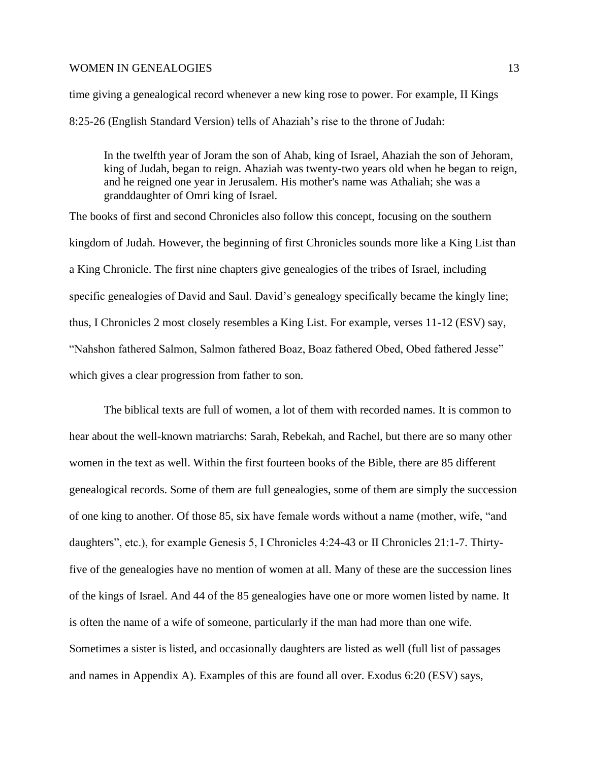time giving a genealogical record whenever a new king rose to power. For example, II Kings 8:25-26 (English Standard Version) tells of Ahaziah's rise to the throne of Judah:

In the twelfth year of Joram the son of Ahab, king of Israel, Ahaziah the son of Jehoram, king of Judah, began to reign. Ahaziah was twenty-two years old when he began to reign, and he reigned one year in Jerusalem. His mother's name was Athaliah; she was a granddaughter of Omri king of Israel.

The books of first and second Chronicles also follow this concept, focusing on the southern kingdom of Judah. However, the beginning of first Chronicles sounds more like a King List than a King Chronicle. The first nine chapters give genealogies of the tribes of Israel, including specific genealogies of David and Saul. David's genealogy specifically became the kingly line; thus, I Chronicles 2 most closely resembles a King List. For example, verses 11-12 (ESV) say, "Nahshon fathered Salmon, Salmon fathered Boaz, Boaz fathered Obed, Obed fathered Jesse" which gives a clear progression from father to son.

The biblical texts are full of women, a lot of them with recorded names. It is common to hear about the well-known matriarchs: Sarah, Rebekah, and Rachel, but there are so many other women in the text as well. Within the first fourteen books of the Bible, there are 85 different genealogical records. Some of them are full genealogies, some of them are simply the succession of one king to another. Of those 85, six have female words without a name (mother, wife, "and daughters", etc.), for example Genesis 5, I Chronicles 4:24-43 or II Chronicles 21:1-7. Thirtyfive of the genealogies have no mention of women at all. Many of these are the succession lines of the kings of Israel. And 44 of the 85 genealogies have one or more women listed by name. It is often the name of a wife of someone, particularly if the man had more than one wife. Sometimes a sister is listed, and occasionally daughters are listed as well (full list of passages and names in Appendix A). Examples of this are found all over. Exodus 6:20 (ESV) says,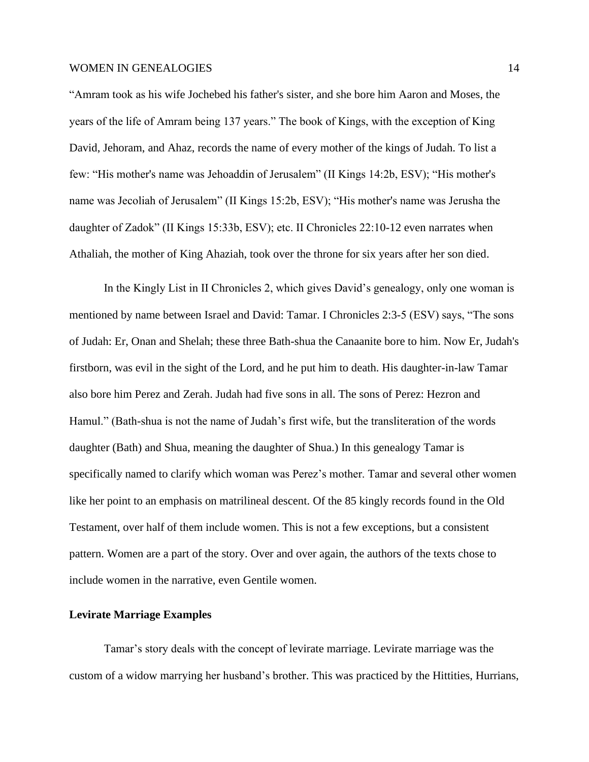"Amram took as his wife Jochebed his father's sister, and she bore him Aaron and Moses, the years of the life of Amram being 137 years." The book of Kings, with the exception of King David, Jehoram, and Ahaz, records the name of every mother of the kings of Judah. To list a few: "His mother's name was Jehoaddin of Jerusalem" (II Kings 14:2b, ESV); "His mother's name was Jecoliah of Jerusalem" (II Kings 15:2b, ESV); "His mother's name was Jerusha the daughter of Zadok" (II Kings 15:33b, ESV); etc. II Chronicles 22:10-12 even narrates when Athaliah, the mother of King Ahaziah, took over the throne for six years after her son died.

In the Kingly List in II Chronicles 2, which gives David's genealogy, only one woman is mentioned by name between Israel and David: Tamar. I Chronicles 2:3-5 (ESV) says, "The sons of Judah: Er, Onan and Shelah; these three Bath-shua the Canaanite bore to him. Now Er, Judah's firstborn, was evil in the sight of the Lord, and he put him to death. His daughter-in-law Tamar also bore him Perez and Zerah. Judah had five sons in all. The sons of Perez: Hezron and Hamul." (Bath-shua is not the name of Judah's first wife, but the transliteration of the words daughter (Bath) and Shua, meaning the daughter of Shua.) In this genealogy Tamar is specifically named to clarify which woman was Perez's mother. Tamar and several other women like her point to an emphasis on matrilineal descent. Of the 85 kingly records found in the Old Testament, over half of them include women. This is not a few exceptions, but a consistent pattern. Women are a part of the story. Over and over again, the authors of the texts chose to include women in the narrative, even Gentile women.

#### **Levirate Marriage Examples**

Tamar's story deals with the concept of levirate marriage. Levirate marriage was the custom of a widow marrying her husband's brother. This was practiced by the Hittities, Hurrians,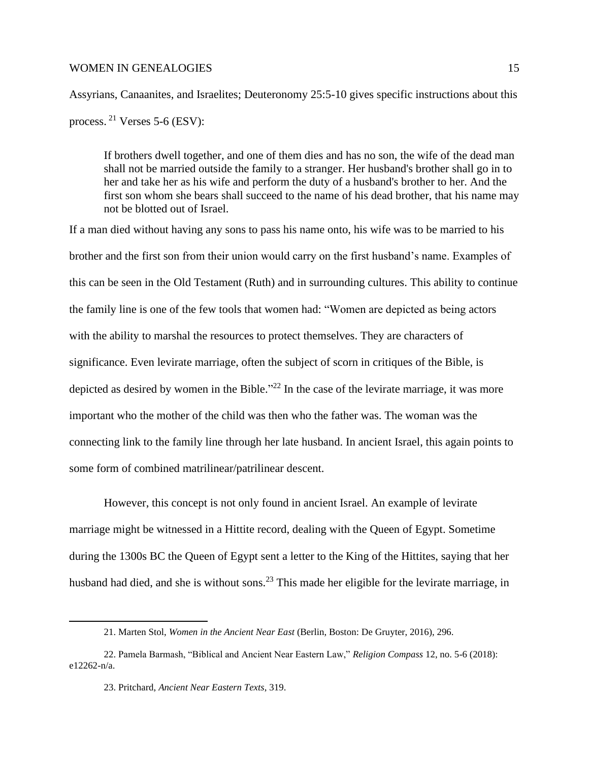Assyrians, Canaanites, and Israelites; Deuteronomy 25:5-10 gives specific instructions about this process. <sup>21</sup> Verses 5-6 (ESV):

If brothers dwell together, and one of them dies and has no son, the wife of the dead man shall not be married outside the family to a stranger. Her husband's brother shall go in to her and take her as his wife and perform the duty of a husband's brother to her. And the first son whom she bears shall succeed to the name of his dead brother, that his name may not be blotted out of Israel.

If a man died without having any sons to pass his name onto, his wife was to be married to his brother and the first son from their union would carry on the first husband's name. Examples of this can be seen in the Old Testament (Ruth) and in surrounding cultures. This ability to continue the family line is one of the few tools that women had: "Women are depicted as being actors with the ability to marshal the resources to protect themselves. They are characters of significance. Even levirate marriage, often the subject of scorn in critiques of the Bible, is depicted as desired by women in the Bible."<sup>22</sup> In the case of the levirate marriage, it was more important who the mother of the child was then who the father was. The woman was the connecting link to the family line through her late husband. In ancient Israel, this again points to some form of combined matrilinear/patrilinear descent.

However, this concept is not only found in ancient Israel. An example of levirate marriage might be witnessed in a Hittite record, dealing with the Queen of Egypt. Sometime during the 1300s BC the Queen of Egypt sent a letter to the King of the Hittites, saying that her husband had died, and she is without sons.<sup>23</sup> This made her eligible for the levirate marriage, in

<sup>21.</sup> Marten Stol, *Women in the Ancient Near East* (Berlin, Boston: De Gruyter, 2016), 296.

<sup>22.</sup> Pamela Barmash, "Biblical and Ancient Near Eastern Law," *Religion Compass* 12, no. 5-6 (2018): e12262-n/a.

<sup>23.</sup> Pritchard, *Ancient Near Eastern Texts*, 319.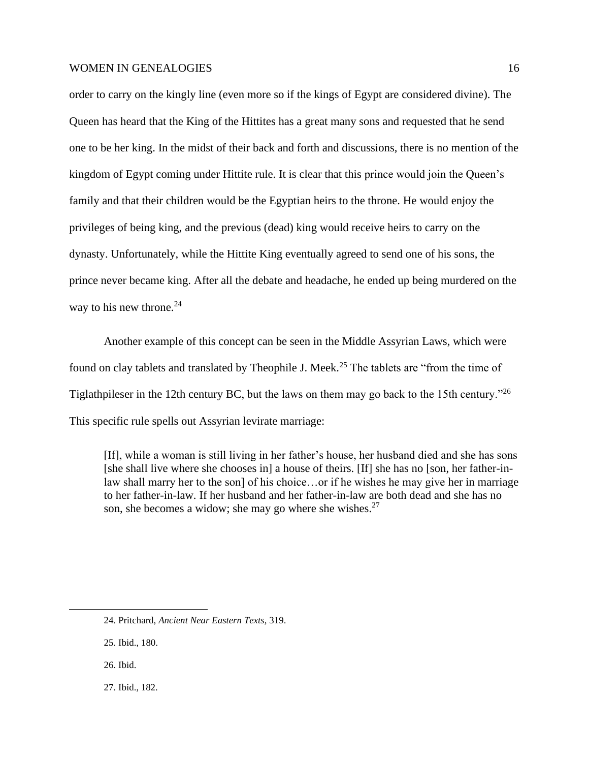order to carry on the kingly line (even more so if the kings of Egypt are considered divine). The Queen has heard that the King of the Hittites has a great many sons and requested that he send one to be her king. In the midst of their back and forth and discussions, there is no mention of the kingdom of Egypt coming under Hittite rule. It is clear that this prince would join the Queen's family and that their children would be the Egyptian heirs to the throne. He would enjoy the privileges of being king, and the previous (dead) king would receive heirs to carry on the dynasty. Unfortunately, while the Hittite King eventually agreed to send one of his sons, the prince never became king. After all the debate and headache, he ended up being murdered on the way to his new throne. $24$ 

Another example of this concept can be seen in the Middle Assyrian Laws, which were found on clay tablets and translated by Theophile J. Meek.<sup>25</sup> The tablets are "from the time of Tiglathpileser in the 12th century BC, but the laws on them may go back to the 15th century."<sup>26</sup> This specific rule spells out Assyrian levirate marriage:

[If], while a woman is still living in her father's house, her husband died and she has sons [she shall live where she chooses in] a house of theirs. [If] she has no [son, her father-inlaw shall marry her to the son] of his choice...or if he wishes he may give her in marriage to her father-in-law. If her husband and her father-in-law are both dead and she has no son, she becomes a widow; she may go where she wishes. $27$ 

27. Ibid., 182.

<sup>24.</sup> Pritchard, *Ancient Near Eastern Texts*, 319.

<sup>25.</sup> Ibid., 180.

<sup>26</sup>. Ibid.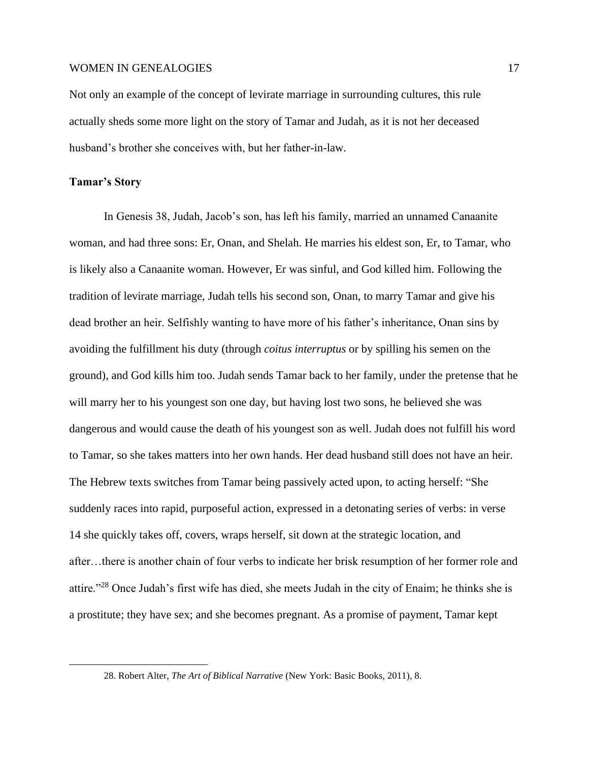Not only an example of the concept of levirate marriage in surrounding cultures, this rule actually sheds some more light on the story of Tamar and Judah, as it is not her deceased husband's brother she conceives with, but her father-in-law.

## **Tamar's Story**

In Genesis 38, Judah, Jacob's son, has left his family, married an unnamed Canaanite woman, and had three sons: Er, Onan, and Shelah. He marries his eldest son, Er, to Tamar, who is likely also a Canaanite woman. However, Er was sinful, and God killed him. Following the tradition of levirate marriage, Judah tells his second son, Onan, to marry Tamar and give his dead brother an heir. Selfishly wanting to have more of his father's inheritance, Onan sins by avoiding the fulfillment his duty (through *coitus interruptus* or by spilling his semen on the ground), and God kills him too. Judah sends Tamar back to her family, under the pretense that he will marry her to his youngest son one day, but having lost two sons, he believed she was dangerous and would cause the death of his youngest son as well. Judah does not fulfill his word to Tamar, so she takes matters into her own hands. Her dead husband still does not have an heir. The Hebrew texts switches from Tamar being passively acted upon, to acting herself: "She suddenly races into rapid, purposeful action, expressed in a detonating series of verbs: in verse 14 she quickly takes off, covers, wraps herself, sit down at the strategic location, and after…there is another chain of four verbs to indicate her brisk resumption of her former role and attire."<sup>28</sup> Once Judah's first wife has died, she meets Judah in the city of Enaim; he thinks she is a prostitute; they have sex; and she becomes pregnant. As a promise of payment, Tamar kept

<sup>28.</sup> Robert Alter, *The Art of Biblical Narrative* (New York: Basic Books, 2011), 8.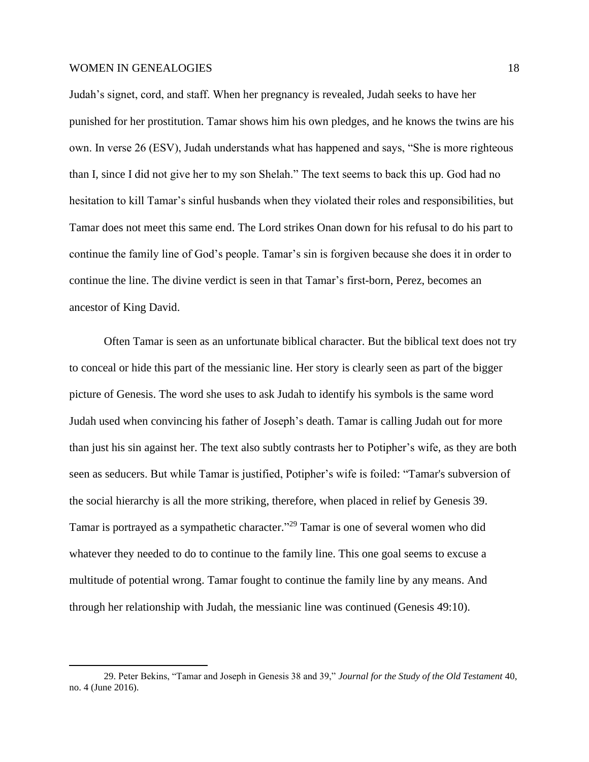Judah's signet, cord, and staff. When her pregnancy is revealed, Judah seeks to have her punished for her prostitution. Tamar shows him his own pledges, and he knows the twins are his own. In verse 26 (ESV), Judah understands what has happened and says, "She is more righteous than I, since I did not give her to my son Shelah." The text seems to back this up. God had no hesitation to kill Tamar's sinful husbands when they violated their roles and responsibilities, but Tamar does not meet this same end. The Lord strikes Onan down for his refusal to do his part to continue the family line of God's people. Tamar's sin is forgiven because she does it in order to continue the line. The divine verdict is seen in that Tamar's first-born, Perez, becomes an ancestor of King David.

Often Tamar is seen as an unfortunate biblical character. But the biblical text does not try to conceal or hide this part of the messianic line. Her story is clearly seen as part of the bigger picture of Genesis. The word she uses to ask Judah to identify his symbols is the same word Judah used when convincing his father of Joseph's death. Tamar is calling Judah out for more than just his sin against her. The text also subtly contrasts her to Potipher's wife, as they are both seen as seducers. But while Tamar is justified, Potipher's wife is foiled: "Tamar's subversion of the social hierarchy is all the more striking, therefore, when placed in relief by Genesis 39. Tamar is portrayed as a sympathetic character." <sup>29</sup> Tamar is one of several women who did whatever they needed to do to continue to the family line. This one goal seems to excuse a multitude of potential wrong. Tamar fought to continue the family line by any means. And through her relationship with Judah, the messianic line was continued (Genesis 49:10).

<sup>29.</sup> Peter Bekins, "Tamar and Joseph in Genesis 38 and 39," *Journal for the Study of the Old Testament* 40, no. 4 (June 2016).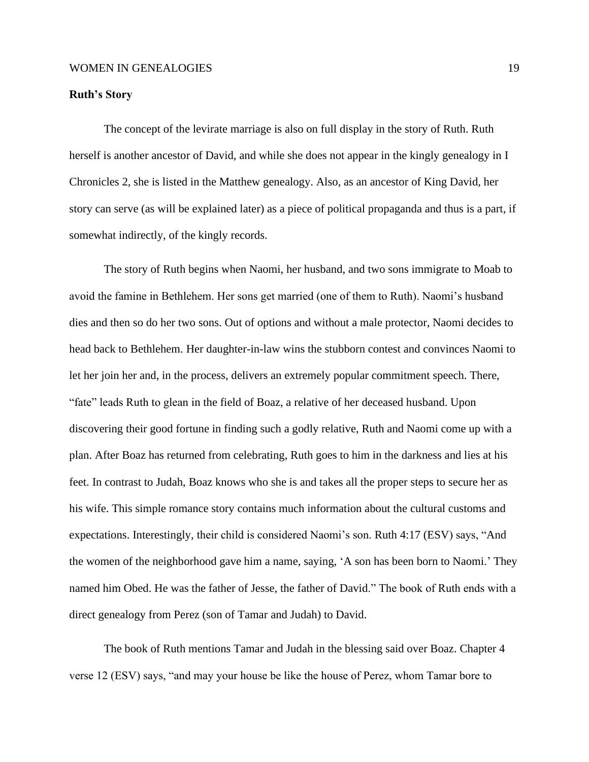# **Ruth's Story**

The concept of the levirate marriage is also on full display in the story of Ruth. Ruth herself is another ancestor of David, and while she does not appear in the kingly genealogy in I Chronicles 2, she is listed in the Matthew genealogy. Also, as an ancestor of King David, her story can serve (as will be explained later) as a piece of political propaganda and thus is a part, if somewhat indirectly, of the kingly records.

The story of Ruth begins when Naomi, her husband, and two sons immigrate to Moab to avoid the famine in Bethlehem. Her sons get married (one of them to Ruth). Naomi's husband dies and then so do her two sons. Out of options and without a male protector, Naomi decides to head back to Bethlehem. Her daughter-in-law wins the stubborn contest and convinces Naomi to let her join her and, in the process, delivers an extremely popular commitment speech. There, "fate" leads Ruth to glean in the field of Boaz, a relative of her deceased husband. Upon discovering their good fortune in finding such a godly relative, Ruth and Naomi come up with a plan. After Boaz has returned from celebrating, Ruth goes to him in the darkness and lies at his feet. In contrast to Judah, Boaz knows who she is and takes all the proper steps to secure her as his wife. This simple romance story contains much information about the cultural customs and expectations. Interestingly, their child is considered Naomi's son. Ruth 4:17 (ESV) says, "And the women of the neighborhood gave him a name, saying, 'A son has been born to Naomi.' They named him Obed. He was the father of Jesse, the father of David." The book of Ruth ends with a direct genealogy from Perez (son of Tamar and Judah) to David.

The book of Ruth mentions Tamar and Judah in the blessing said over Boaz. Chapter 4 verse 12 (ESV) says, "and may your house be like the house of Perez, whom Tamar bore to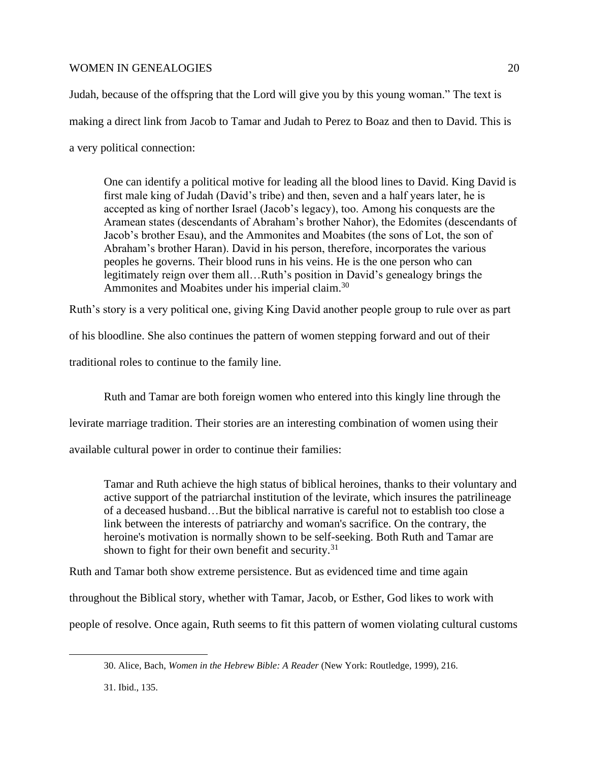Judah, because of the offspring that the Lord will give you by this young woman." The text is making a direct link from Jacob to Tamar and Judah to Perez to Boaz and then to David. This is a very political connection:

One can identify a political motive for leading all the blood lines to David. King David is first male king of Judah (David's tribe) and then, seven and a half years later, he is accepted as king of norther Israel (Jacob's legacy), too. Among his conquests are the Aramean states (descendants of Abraham's brother Nahor), the Edomites (descendants of Jacob's brother Esau), and the Ammonites and Moabites (the sons of Lot, the son of Abraham's brother Haran). David in his person, therefore, incorporates the various peoples he governs. Their blood runs in his veins. He is the one person who can legitimately reign over them all…Ruth's position in David's genealogy brings the Ammonites and Moabites under his imperial claim.<sup>30</sup>

Ruth's story is a very political one, giving King David another people group to rule over as part

of his bloodline. She also continues the pattern of women stepping forward and out of their

traditional roles to continue to the family line.

Ruth and Tamar are both foreign women who entered into this kingly line through the

levirate marriage tradition. Their stories are an interesting combination of women using their

available cultural power in order to continue their families:

Tamar and Ruth achieve the high status of biblical heroines, thanks to their voluntary and active support of the patriarchal institution of the levirate, which insures the patrilineage of a deceased husband…But the biblical narrative is careful not to establish too close a link between the interests of patriarchy and woman's sacrifice. On the contrary, the heroine's motivation is normally shown to be self-seeking. Both Ruth and Tamar are shown to fight for their own benefit and security.<sup>31</sup>

Ruth and Tamar both show extreme persistence. But as evidenced time and time again

throughout the Biblical story, whether with Tamar, Jacob, or Esther, God likes to work with

people of resolve. Once again, Ruth seems to fit this pattern of women violating cultural customs

<sup>30.</sup> Alice, Bach, *Women in the Hebrew Bible: A Reader* (New York: Routledge, 1999), 216.

<sup>31.</sup> Ibid., 135.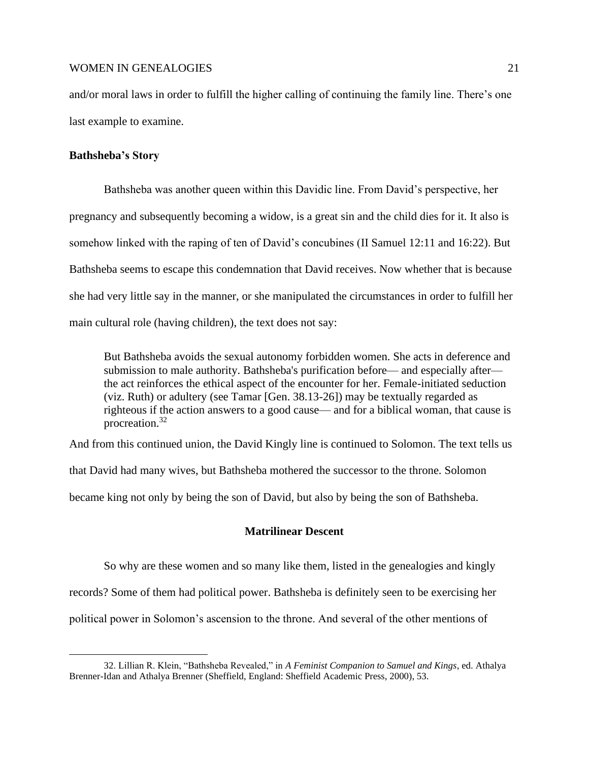and/or moral laws in order to fulfill the higher calling of continuing the family line. There's one last example to examine.

## **Bathsheba's Story**

Bathsheba was another queen within this Davidic line. From David's perspective, her pregnancy and subsequently becoming a widow, is a great sin and the child dies for it. It also is somehow linked with the raping of ten of David's concubines (II Samuel 12:11 and 16:22). But Bathsheba seems to escape this condemnation that David receives. Now whether that is because she had very little say in the manner, or she manipulated the circumstances in order to fulfill her main cultural role (having children), the text does not say:

But Bathsheba avoids the sexual autonomy forbidden women. She acts in deference and submission to male authority. Bathsheba's purification before— and especially after the act reinforces the ethical aspect of the encounter for her. Female-initiated seduction (viz. Ruth) or adultery (see Tamar [Gen. 38.13-26]) may be textually regarded as righteous if the action answers to a good cause— and for a biblical woman, that cause is procreation.<sup>32</sup>

And from this continued union, the David Kingly line is continued to Solomon. The text tells us

that David had many wives, but Bathsheba mothered the successor to the throne. Solomon

became king not only by being the son of David, but also by being the son of Bathsheba.

## **Matrilinear Descent**

So why are these women and so many like them, listed in the genealogies and kingly records? Some of them had political power. Bathsheba is definitely seen to be exercising her political power in Solomon's ascension to the throne. And several of the other mentions of

<sup>32.</sup> Lillian R. Klein, "Bathsheba Revealed," in *A Feminist Companion to Samuel and Kings*, ed. Athalya Brenner-Idan and Athalya Brenner (Sheffield, England: Sheffield Academic Press, 2000), 53.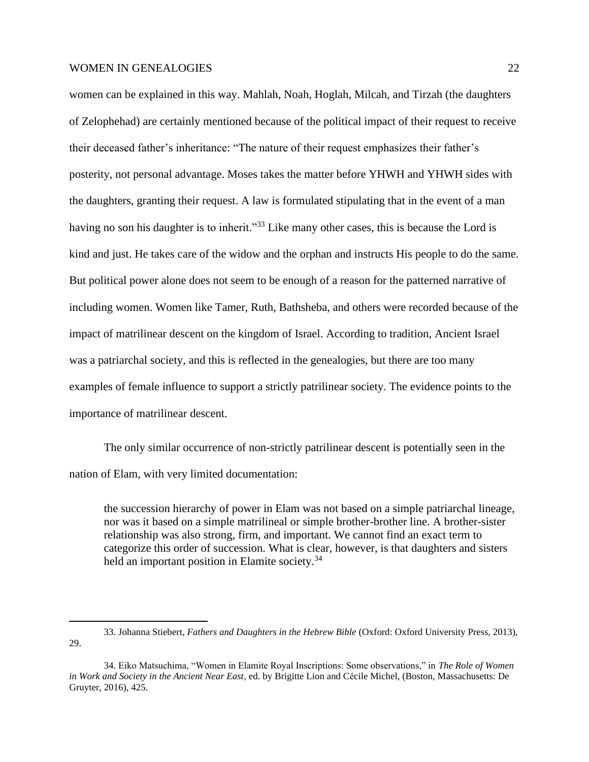women can be explained in this way. Mahlah, Noah, Hoglah, Milcah, and Tirzah (the daughters of Zelophehad) are certainly mentioned because of the political impact of their request to receive their deceased father's inheritance: "The nature of their request emphasizes their father's posterity, not personal advantage. Moses takes the matter before YHWH and YHWH sides with the daughters, granting their request. A law is formulated stipulating that in the event of a man having no son his daughter is to inherit."<sup>33</sup> Like many other cases, this is because the Lord is kind and just. He takes care of the widow and the orphan and instructs His people to do the same. But political power alone does not seem to be enough of a reason for the patterned narrative of including women. Women like Tamer, Ruth, Bathsheba, and others were recorded because of the impact of matrilinear descent on the kingdom of Israel. According to tradition, Ancient Israel was a patriarchal society, and this is reflected in the genealogies, but there are too many examples of female influence to support a strictly patrilinear society. The evidence points to the importance of matrilinear descent.

The only similar occurrence of non-strictly patrilinear descent is potentially seen in the nation of Elam, with very limited documentation:

the succession hierarchy of power in Elam was not based on a simple patriarchal lineage, nor was it based on a simple matrilineal or simple brother-brother line. A brother-sister relationship was also strong, firm, and important. We cannot find an exact term to categorize this order of succession. What is clear, however, is that daughters and sisters held an important position in Elamite society.<sup>34</sup>

<sup>33.</sup> Johanna Stiebert, *Fathers and Daughters in the Hebrew Bible* (Oxford: Oxford University Press, 2013), 29.

<sup>34.</sup> Eiko Matsuchima, "Women in Elamite Royal Inscriptions: Some observations," in *The Role of Women in Work and Society in the Ancient Near East*, ed. by Brigitte Lion and Cécile Michel, (Boston, Massachusetts: De Gruyter, 2016), 425.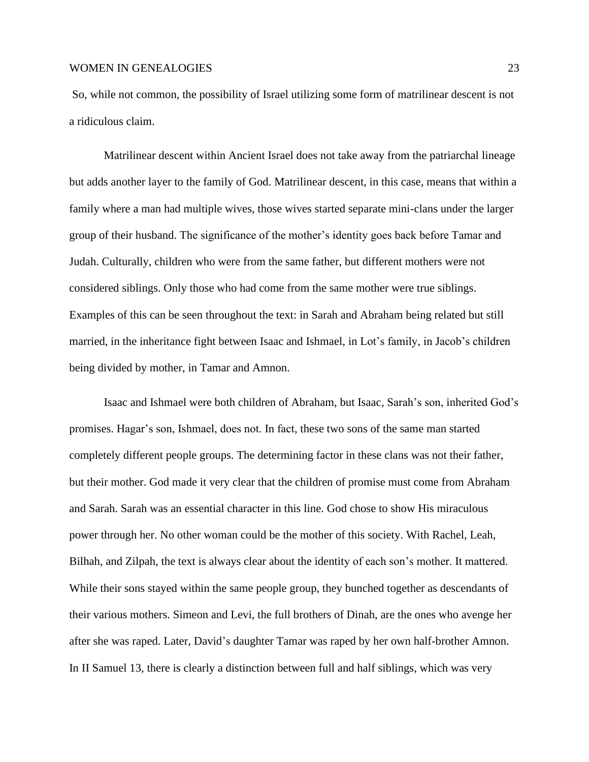So, while not common, the possibility of Israel utilizing some form of matrilinear descent is not a ridiculous claim.

Matrilinear descent within Ancient Israel does not take away from the patriarchal lineage but adds another layer to the family of God. Matrilinear descent, in this case, means that within a family where a man had multiple wives, those wives started separate mini-clans under the larger group of their husband. The significance of the mother's identity goes back before Tamar and Judah. Culturally, children who were from the same father, but different mothers were not considered siblings. Only those who had come from the same mother were true siblings. Examples of this can be seen throughout the text: in Sarah and Abraham being related but still married, in the inheritance fight between Isaac and Ishmael, in Lot's family, in Jacob's children being divided by mother, in Tamar and Amnon.

Isaac and Ishmael were both children of Abraham, but Isaac, Sarah's son, inherited God's promises. Hagar's son, Ishmael, does not. In fact, these two sons of the same man started completely different people groups. The determining factor in these clans was not their father, but their mother. God made it very clear that the children of promise must come from Abraham and Sarah. Sarah was an essential character in this line. God chose to show His miraculous power through her. No other woman could be the mother of this society. With Rachel, Leah, Bilhah, and Zilpah, the text is always clear about the identity of each son's mother. It mattered. While their sons stayed within the same people group, they bunched together as descendants of their various mothers. Simeon and Levi, the full brothers of Dinah, are the ones who avenge her after she was raped. Later, David's daughter Tamar was raped by her own half-brother Amnon. In II Samuel 13, there is clearly a distinction between full and half siblings, which was very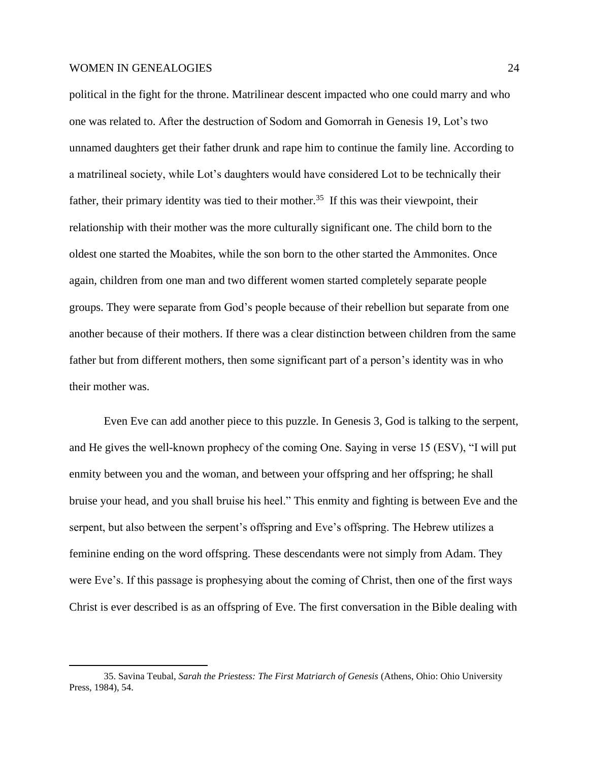political in the fight for the throne. Matrilinear descent impacted who one could marry and who one was related to. After the destruction of Sodom and Gomorrah in Genesis 19, Lot's two unnamed daughters get their father drunk and rape him to continue the family line. According to a matrilineal society, while Lot's daughters would have considered Lot to be technically their father, their primary identity was tied to their mother.<sup>35</sup> If this was their viewpoint, their relationship with their mother was the more culturally significant one. The child born to the oldest one started the Moabites, while the son born to the other started the Ammonites. Once again, children from one man and two different women started completely separate people groups. They were separate from God's people because of their rebellion but separate from one another because of their mothers. If there was a clear distinction between children from the same father but from different mothers, then some significant part of a person's identity was in who their mother was.

Even Eve can add another piece to this puzzle. In Genesis 3, God is talking to the serpent, and He gives the well-known prophecy of the coming One. Saying in verse 15 (ESV), "I will put enmity between you and the woman, and between your offspring and her offspring; he shall bruise your head, and you shall bruise his heel." This enmity and fighting is between Eve and the serpent, but also between the serpent's offspring and Eve's offspring. The Hebrew utilizes a feminine ending on the word offspring. These descendants were not simply from Adam. They were Eve's. If this passage is prophesying about the coming of Christ, then one of the first ways Christ is ever described is as an offspring of Eve. The first conversation in the Bible dealing with

<sup>35.</sup> Savina Teubal, *Sarah the Priestess: The First Matriarch of Genesis* (Athens, Ohio: Ohio University Press, 1984), 54.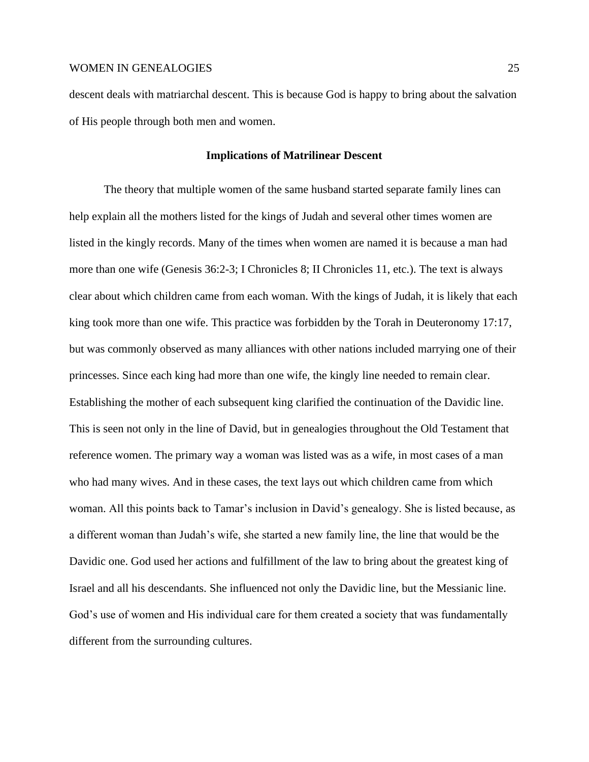descent deals with matriarchal descent. This is because God is happy to bring about the salvation of His people through both men and women.

#### **Implications of Matrilinear Descent**

The theory that multiple women of the same husband started separate family lines can help explain all the mothers listed for the kings of Judah and several other times women are listed in the kingly records. Many of the times when women are named it is because a man had more than one wife (Genesis 36:2-3; I Chronicles 8; II Chronicles 11, etc.). The text is always clear about which children came from each woman. With the kings of Judah, it is likely that each king took more than one wife. This practice was forbidden by the Torah in Deuteronomy 17:17, but was commonly observed as many alliances with other nations included marrying one of their princesses. Since each king had more than one wife, the kingly line needed to remain clear. Establishing the mother of each subsequent king clarified the continuation of the Davidic line. This is seen not only in the line of David, but in genealogies throughout the Old Testament that reference women. The primary way a woman was listed was as a wife, in most cases of a man who had many wives. And in these cases, the text lays out which children came from which woman. All this points back to Tamar's inclusion in David's genealogy. She is listed because, as a different woman than Judah's wife, she started a new family line, the line that would be the Davidic one. God used her actions and fulfillment of the law to bring about the greatest king of Israel and all his descendants. She influenced not only the Davidic line, but the Messianic line. God's use of women and His individual care for them created a society that was fundamentally different from the surrounding cultures.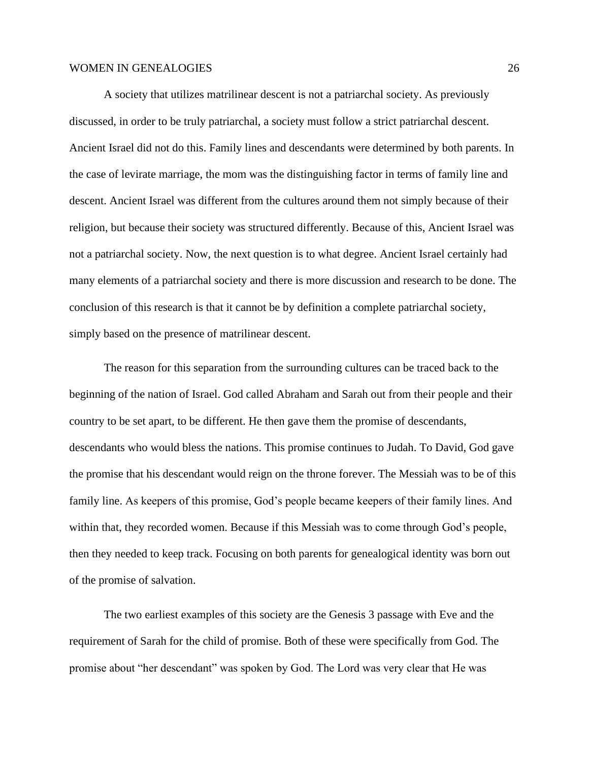A society that utilizes matrilinear descent is not a patriarchal society. As previously discussed, in order to be truly patriarchal, a society must follow a strict patriarchal descent. Ancient Israel did not do this. Family lines and descendants were determined by both parents. In the case of levirate marriage, the mom was the distinguishing factor in terms of family line and descent. Ancient Israel was different from the cultures around them not simply because of their religion, but because their society was structured differently. Because of this, Ancient Israel was not a patriarchal society. Now, the next question is to what degree. Ancient Israel certainly had many elements of a patriarchal society and there is more discussion and research to be done. The conclusion of this research is that it cannot be by definition a complete patriarchal society, simply based on the presence of matrilinear descent.

The reason for this separation from the surrounding cultures can be traced back to the beginning of the nation of Israel. God called Abraham and Sarah out from their people and their country to be set apart, to be different. He then gave them the promise of descendants, descendants who would bless the nations. This promise continues to Judah. To David, God gave the promise that his descendant would reign on the throne forever. The Messiah was to be of this family line. As keepers of this promise, God's people became keepers of their family lines. And within that, they recorded women. Because if this Messiah was to come through God's people, then they needed to keep track. Focusing on both parents for genealogical identity was born out of the promise of salvation.

The two earliest examples of this society are the Genesis 3 passage with Eve and the requirement of Sarah for the child of promise. Both of these were specifically from God. The promise about "her descendant" was spoken by God. The Lord was very clear that He was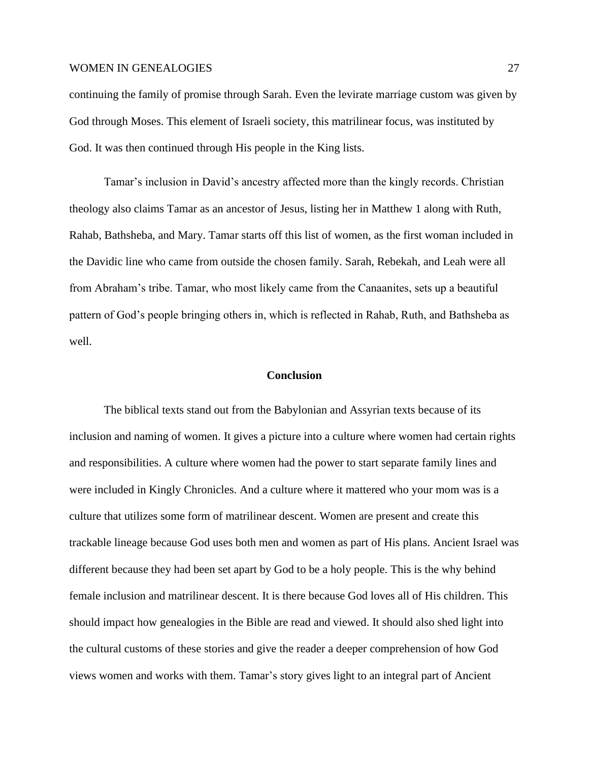continuing the family of promise through Sarah. Even the levirate marriage custom was given by God through Moses. This element of Israeli society, this matrilinear focus, was instituted by God. It was then continued through His people in the King lists.

Tamar's inclusion in David's ancestry affected more than the kingly records. Christian theology also claims Tamar as an ancestor of Jesus, listing her in Matthew 1 along with Ruth, Rahab, Bathsheba, and Mary. Tamar starts off this list of women, as the first woman included in the Davidic line who came from outside the chosen family. Sarah, Rebekah, and Leah were all from Abraham's tribe. Tamar, who most likely came from the Canaanites, sets up a beautiful pattern of God's people bringing others in, which is reflected in Rahab, Ruth, and Bathsheba as well.

# **Conclusion**

The biblical texts stand out from the Babylonian and Assyrian texts because of its inclusion and naming of women. It gives a picture into a culture where women had certain rights and responsibilities. A culture where women had the power to start separate family lines and were included in Kingly Chronicles. And a culture where it mattered who your mom was is a culture that utilizes some form of matrilinear descent. Women are present and create this trackable lineage because God uses both men and women as part of His plans. Ancient Israel was different because they had been set apart by God to be a holy people. This is the why behind female inclusion and matrilinear descent. It is there because God loves all of His children. This should impact how genealogies in the Bible are read and viewed. It should also shed light into the cultural customs of these stories and give the reader a deeper comprehension of how God views women and works with them. Tamar's story gives light to an integral part of Ancient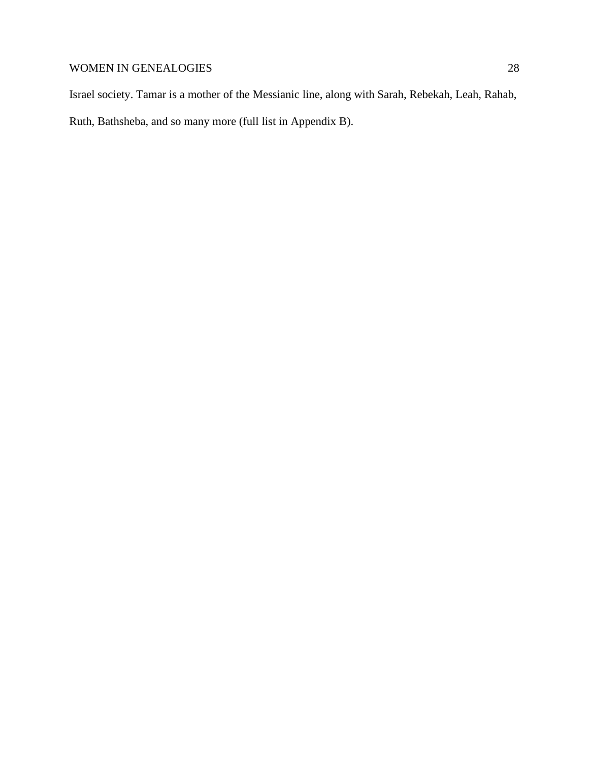Israel society. Tamar is a mother of the Messianic line, along with Sarah, Rebekah, Leah, Rahab, Ruth, Bathsheba, and so many more (full list in Appendix B).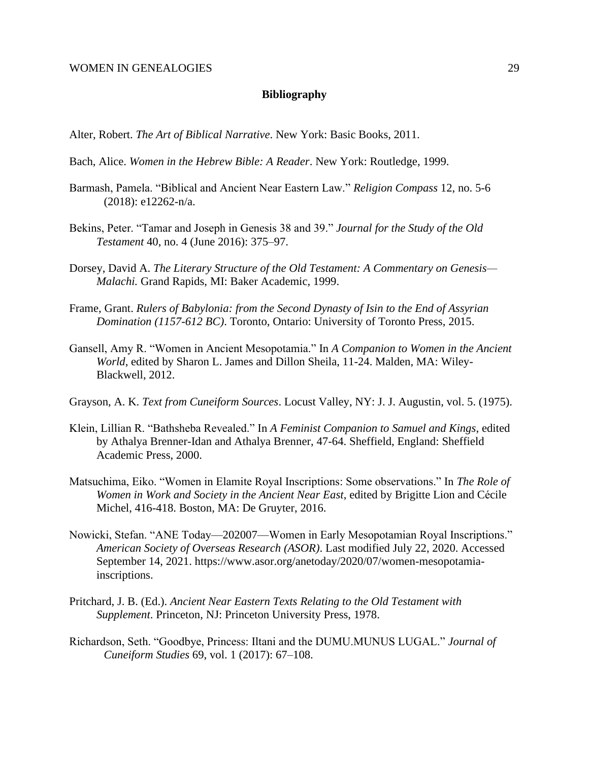## **Bibliography**

Alter, Robert. *The Art of Biblical Narrative*. New York: Basic Books, 2011.

- Bach, Alice. *Women in the Hebrew Bible: A Reader*. New York: Routledge, 1999.
- Barmash, Pamela. "Biblical and Ancient Near Eastern Law." *Religion Compass* 12, no. 5-6 (2018): e12262-n/a.
- Bekins, Peter. "Tamar and Joseph in Genesis 38 and 39." *Journal for the Study of the Old Testament* 40, no. 4 (June 2016): 375–97.
- Dorsey, David A. *The Literary Structure of the Old Testament: A Commentary on Genesis— Malachi.* Grand Rapids, MI: Baker Academic, 1999.
- Frame, Grant. *Rulers of Babylonia: from the Second Dynasty of Isin to the End of Assyrian Domination (1157-612 BC)*. Toronto, Ontario: University of Toronto Press, 2015.
- Gansell, Amy R. "Women in Ancient Mesopotamia." In *A Companion to Women in the Ancient World*, edited by Sharon L. James and Dillon Sheila, 11-24. Malden, MA: Wiley-Blackwell, 2012.
- Grayson, A. K. *Text from Cuneiform Sources*. Locust Valley, NY: J. J. Augustin, vol. 5. (1975).
- Klein, Lillian R. "Bathsheba Revealed." In *A Feminist Companion to Samuel and Kings*, edited by Athalya Brenner-Idan and Athalya Brenner, 47-64. Sheffield, England: Sheffield Academic Press, 2000.
- Matsuchima, Eiko. "Women in Elamite Royal Inscriptions: Some observations." In *The Role of Women in Work and Society in the Ancient Near East*, edited by Brigitte Lion and Cécile Michel, 416-418. Boston, MA: De Gruyter, 2016.
- Nowicki, Stefan. "ANE Today—202007—Women in Early Mesopotamian Royal Inscriptions." *American Society of Overseas Research (ASOR)*. Last modified July 22, 2020. Accessed September 14, 2021. https://www.asor.org/anetoday/2020/07/women-mesopotamiainscriptions.
- Pritchard, J. B. (Ed.). *Ancient Near Eastern Texts Relating to the Old Testament with Supplement*. Princeton, NJ: Princeton University Press, 1978.
- Richardson, Seth. "Goodbye, Princess: Iltani and the DUMU.MUNUS LUGAL." *Journal of Cuneiform Studies* 69, vol. 1 (2017): 67–108.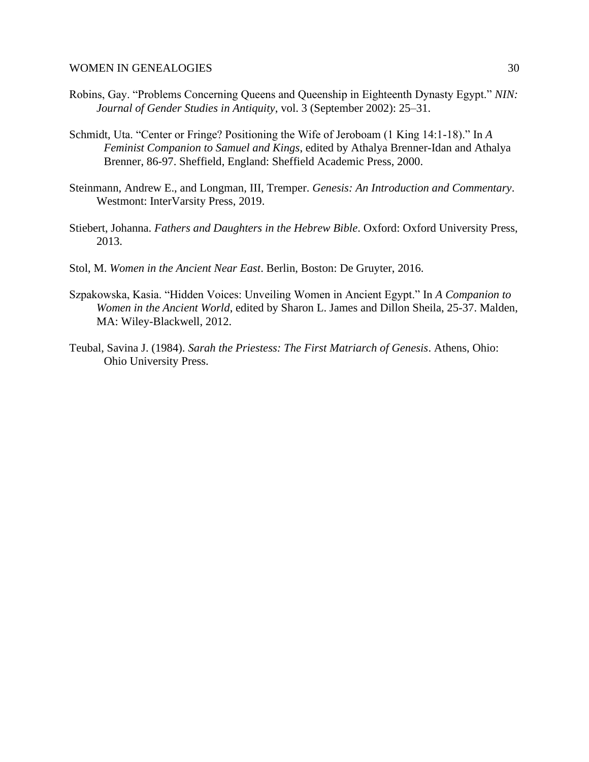- Robins, Gay. "Problems Concerning Queens and Queenship in Eighteenth Dynasty Egypt." *NIN: Journal of Gender Studies in Antiquity*, vol. 3 (September 2002): 25–31.
- Schmidt, Uta. "Center or Fringe? Positioning the Wife of Jeroboam (1 King 14:1-18)." In *A Feminist Companion to Samuel and Kings*, edited by Athalya Brenner-Idan and Athalya Brenner, 86-97. Sheffield, England: Sheffield Academic Press, 2000.
- Steinmann, Andrew E., and Longman, III, Tremper. *Genesis: An Introduction and Commentary*. Westmont: InterVarsity Press, 2019.
- Stiebert, Johanna. *Fathers and Daughters in the Hebrew Bible*. Oxford: Oxford University Press, 2013.
- Stol, M. *Women in the Ancient Near East*. Berlin, Boston: De Gruyter, 2016.
- Szpakowska, Kasia. "Hidden Voices: Unveiling Women in Ancient Egypt." In *A Companion to Women in the Ancient World*, edited by Sharon L. James and Dillon Sheila, 25-37. Malden, MA: Wiley-Blackwell, 2012.
- Teubal, Savina J. (1984). *Sarah the Priestess: The First Matriarch of Genesis*. Athens, Ohio: Ohio University Press.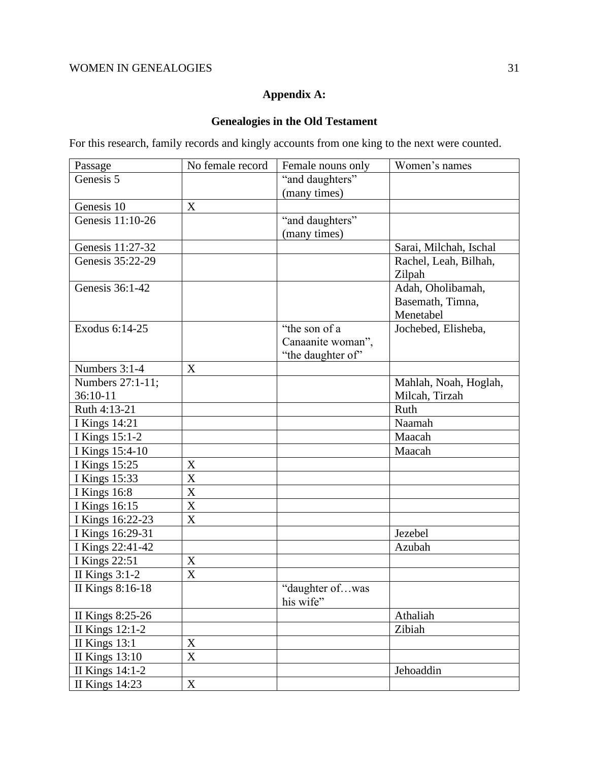# **Appendix A:**

# **Genealogies in the Old Testament**

For this research, family records and kingly accounts from one king to the next were counted.

| Passage               | No female record | Female nouns only            | Women's names          |
|-----------------------|------------------|------------------------------|------------------------|
| Genesis 5             |                  | "and daughters"              |                        |
|                       |                  | (many times)                 |                        |
| Genesis 10            | X                |                              |                        |
| Genesis 11:10-26      |                  | "and daughters"              |                        |
|                       |                  | (many times)                 |                        |
| Genesis 11:27-32      |                  |                              | Sarai, Milchah, Ischal |
| Genesis 35:22-29      |                  |                              | Rachel, Leah, Bilhah,  |
|                       |                  |                              | Zilpah                 |
| Genesis 36:1-42       |                  |                              | Adah, Oholibamah,      |
|                       |                  |                              | Basemath, Timna,       |
|                       |                  |                              | Menetabel              |
| Exodus 6:14-25        |                  | "the son of a                | Jochebed, Elisheba,    |
|                       |                  | Canaanite woman",            |                        |
|                       |                  | "the daughter of"            |                        |
| Numbers 3:1-4         | X                |                              |                        |
| Numbers 27:1-11;      |                  |                              | Mahlah, Noah, Hoglah,  |
| 36:10-11              |                  |                              | Milcah, Tirzah         |
| Ruth 4:13-21          |                  |                              | Ruth                   |
| <b>I Kings 14:21</b>  |                  |                              | Naamah                 |
| I Kings 15:1-2        |                  |                              | Maacah                 |
| I Kings 15:4-10       |                  |                              | Maacah                 |
| I Kings 15:25         | X                |                              |                        |
| I Kings 15:33         | $\mathbf X$      |                              |                        |
| <b>I</b> Kings 16:8   | X                |                              |                        |
| I Kings 16:15         | $\mathbf X$      |                              |                        |
| I Kings 16:22-23      | X                |                              |                        |
| I Kings 16:29-31      |                  |                              | Jezebel                |
| I Kings 22:41-42      |                  |                              | Azubah                 |
| <b>I</b> Kings 22:51  | X                |                              |                        |
| II Kings 3:1-2        | $\boldsymbol{X}$ |                              |                        |
| II Kings 8:16-18      |                  | "daughter ofwas<br>his wife" |                        |
| II Kings 8:25-26      |                  |                              | Athaliah               |
| II Kings 12:1-2       |                  |                              | Zibiah                 |
| II Kings 13:1         | X                |                              |                        |
| <b>II Kings 13:10</b> | X                |                              |                        |
| II Kings 14:1-2       |                  |                              | Jehoaddin              |
| <b>II Kings 14:23</b> | X                |                              |                        |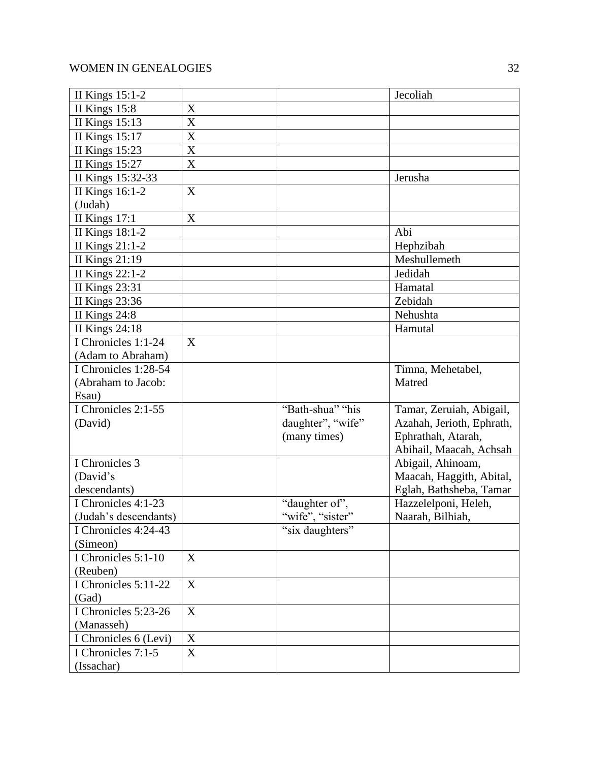| II Kings 15:1-2        |                           |                   | Jecoliah                  |
|------------------------|---------------------------|-------------------|---------------------------|
| II Kings 15:8          | X                         |                   |                           |
| <b>II Kings 15:13</b>  | X                         |                   |                           |
| <b>II Kings 15:17</b>  | X                         |                   |                           |
| <b>II Kings 15:23</b>  | X                         |                   |                           |
| <b>II Kings 15:27</b>  | X                         |                   |                           |
| II Kings 15:32-33      |                           |                   | Jerusha                   |
| II Kings 16:1-2        | X                         |                   |                           |
| (Judah)                |                           |                   |                           |
| II Kings $17:1$        | $\boldsymbol{\mathrm{X}}$ |                   |                           |
| <b>II Kings 18:1-2</b> |                           |                   | Abi                       |
| II Kings 21:1-2        |                           |                   | Hephzibah                 |
| <b>II Kings 21:19</b>  |                           |                   | Meshullemeth              |
| II Kings 22:1-2        |                           |                   | Jedidah                   |
| <b>II Kings 23:31</b>  |                           |                   | Hamatal                   |
| <b>II Kings 23:36</b>  |                           |                   | Zebidah                   |
| II Kings 24:8          |                           |                   | Nehushta                  |
| <b>II Kings 24:18</b>  |                           |                   | Hamutal                   |
| I Chronicles 1:1-24    | X                         |                   |                           |
| (Adam to Abraham)      |                           |                   |                           |
| I Chronicles 1:28-54   |                           |                   | Timna, Mehetabel,         |
| (Abraham to Jacob:     |                           |                   | Matred                    |
| Esau)                  |                           |                   |                           |
| I Chronicles 2:1-55    |                           | "Bath-shua" "his  | Tamar, Zeruiah, Abigail,  |
| (David)                |                           | daughter", "wife" | Azahah, Jerioth, Ephrath, |
|                        |                           | (many times)      | Ephrathah, Atarah,        |
|                        |                           |                   | Abihail, Maacah, Achsah   |
| I Chronicles 3         |                           |                   | Abigail, Ahinoam,         |
| (David's               |                           |                   | Maacah, Haggith, Abital,  |
| descendants)           |                           |                   | Eglah, Bathsheba, Tamar   |
| I Chronicles 4:1-23    |                           | "daughter of",    | Hazzelelponi, Heleh,      |
| (Judah's descendants)  |                           | "wife", "sister"  | Naarah, Bilhiah,          |
| I Chronicles 4:24-43   |                           | "six daughters"   |                           |
| (Simeon)               |                           |                   |                           |
| I Chronicles 5:1-10    | X                         |                   |                           |
| (Reuben)               |                           |                   |                           |
| I Chronicles 5:11-22   | X                         |                   |                           |
| (Gad)                  |                           |                   |                           |
| I Chronicles 5:23-26   | X                         |                   |                           |
| (Manasseh)             |                           |                   |                           |
| I Chronicles 6 (Levi)  | X                         |                   |                           |
| I Chronicles 7:1-5     | X                         |                   |                           |
| (Issachar)             |                           |                   |                           |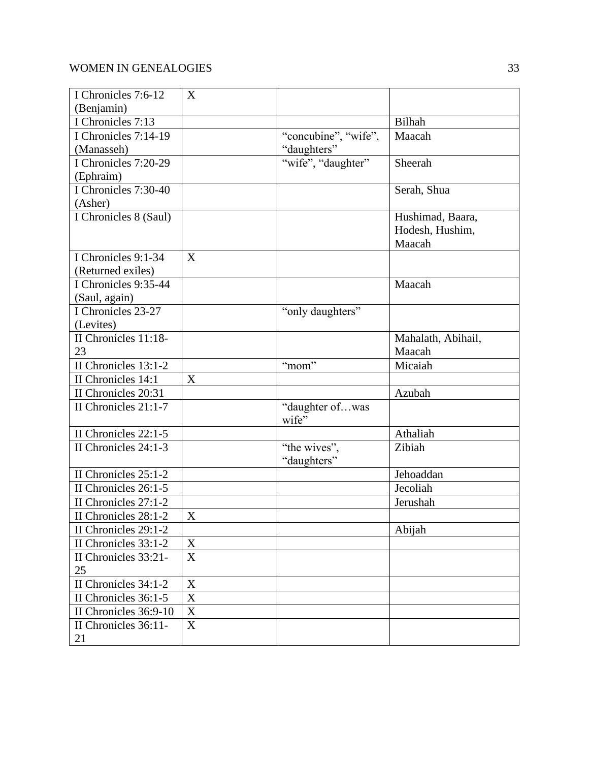| I Chronicles 7:6-12   | X           |                      |                    |
|-----------------------|-------------|----------------------|--------------------|
| (Benjamin)            |             |                      |                    |
| I Chronicles 7:13     |             |                      | Bilhah             |
| I Chronicles 7:14-19  |             | "concubine", "wife", | Maacah             |
| (Manasseh)            |             | "daughters"          |                    |
| I Chronicles 7:20-29  |             | "wife", "daughter"   | Sheerah            |
| (Ephraim)             |             |                      |                    |
| I Chronicles 7:30-40  |             |                      | Serah, Shua        |
| (Asher)               |             |                      |                    |
| I Chronicles 8 (Saul) |             |                      | Hushimad, Baara,   |
|                       |             |                      | Hodesh, Hushim,    |
|                       |             |                      | Maacah             |
| I Chronicles 9:1-34   | X           |                      |                    |
| (Returned exiles)     |             |                      |                    |
| I Chronicles 9:35-44  |             |                      | Maacah             |
| (Saul, again)         |             |                      |                    |
| I Chronicles 23-27    |             | "only daughters"     |                    |
| (Levites)             |             |                      |                    |
| II Chronicles 11:18-  |             |                      | Mahalath, Abihail, |
| 23                    |             |                      | Maacah             |
| II Chronicles 13:1-2  |             | "mom"                | Micaiah            |
| II Chronicles 14:1    | X           |                      |                    |
| II Chronicles 20:31   |             |                      | Azubah             |
| II Chronicles 21:1-7  |             | "daughter ofwas      |                    |
|                       |             | wife"                |                    |
| II Chronicles 22:1-5  |             |                      | Athaliah           |
| II Chronicles 24:1-3  |             | "the wives",         | Zibiah             |
|                       |             | "daughters"          |                    |
| II Chronicles 25:1-2  |             |                      | Jehoaddan          |
| II Chronicles 26:1-5  |             |                      | Jecoliah           |
| II Chronicles 27:1-2  |             |                      | Jerushah           |
| II Chronicles 28:1-2  | X           |                      |                    |
| II Chronicles 29:1-2  |             |                      | Abijah             |
| II Chronicles 33:1-2  | $\mathbf X$ |                      |                    |
| II Chronicles 33:21-  | X           |                      |                    |
| 25                    |             |                      |                    |
| II Chronicles 34:1-2  | $\mathbf X$ |                      |                    |
| II Chronicles 36:1-5  | $\mathbf X$ |                      |                    |
| II Chronicles 36:9-10 | $\mathbf X$ |                      |                    |
| II Chronicles 36:11-  | $\mathbf X$ |                      |                    |
| 21                    |             |                      |                    |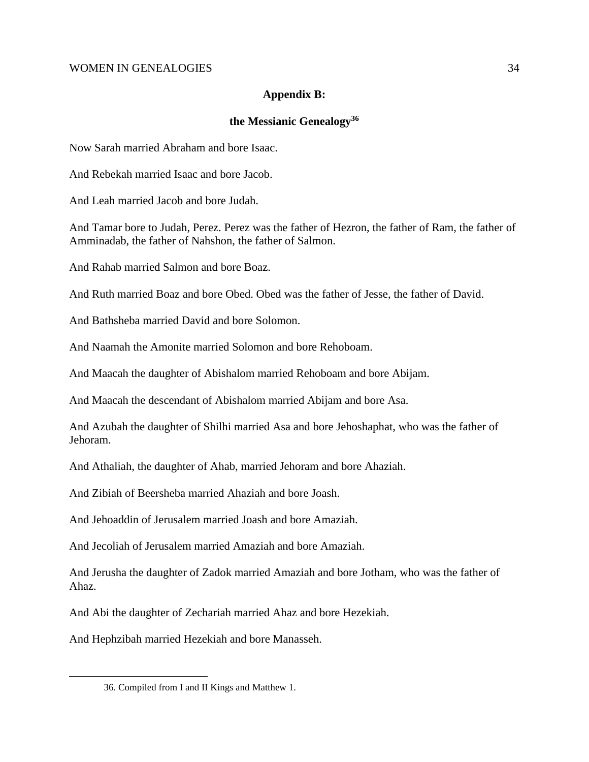# **Appendix B:**

# **the Messianic Genealogy<sup>36</sup>**

Now Sarah married Abraham and bore Isaac.

And Rebekah married Isaac and bore Jacob.

And Leah married Jacob and bore Judah.

And Tamar bore to Judah, Perez. Perez was the father of Hezron, the father of Ram, the father of Amminadab, the father of Nahshon, the father of Salmon.

And Rahab married Salmon and bore Boaz.

And Ruth married Boaz and bore Obed. Obed was the father of Jesse, the father of David.

And Bathsheba married David and bore Solomon.

And Naamah the Amonite married Solomon and bore Rehoboam.

And Maacah the daughter of Abishalom married Rehoboam and bore Abijam.

And Maacah the descendant of Abishalom married Abijam and bore Asa.

And Azubah the daughter of Shilhi married Asa and bore Jehoshaphat, who was the father of Jehoram.

And Athaliah, the daughter of Ahab, married Jehoram and bore Ahaziah.

And Zibiah of Beersheba married Ahaziah and bore Joash.

And Jehoaddin of Jerusalem married Joash and bore Amaziah.

And Jecoliah of Jerusalem married Amaziah and bore Amaziah.

And Jerusha the daughter of Zadok married Amaziah and bore Jotham, who was the father of Ahaz.

And Abi the daughter of Zechariah married Ahaz and bore Hezekiah.

And Hephzibah married Hezekiah and bore Manasseh.

<sup>36.</sup> Compiled from I and II Kings and Matthew 1.